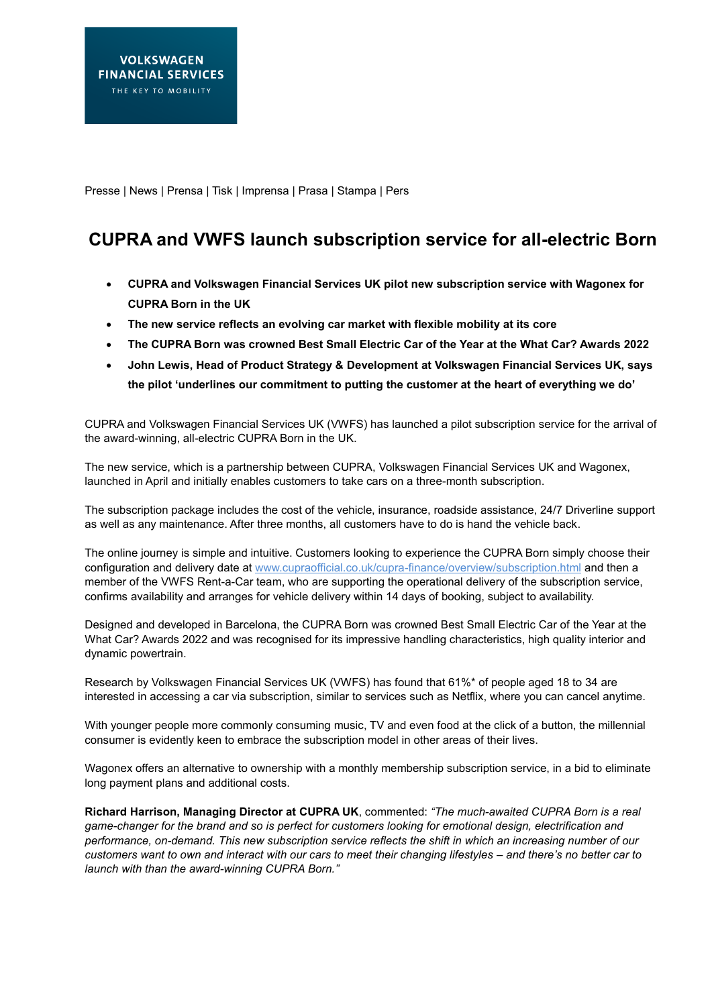Presse | News | Prensa | Tisk | Imprensa | Prasa | Stampa | Pers

# **CUPRA and VWFS launch subscription service for all-electric Born**

- **CUPRA and Volkswagen Financial Services UK pilot new subscription service with Wagonex for CUPRA Born in the UK**
- **The new service reflects an evolving car market with flexible mobility at its core**
- **The CUPRA Born was crowned Best Small Electric Car of the Year at the What Car? Awards 2022**
- **John Lewis, Head of Product Strategy & Development at Volkswagen Financial Services UK, says the pilot 'underlines our commitment to putting the customer at the heart of everything we do'**

CUPRA and Volkswagen Financial Services UK (VWFS) has launched a pilot subscription service for the arrival of the award-winning, all-electric CUPRA Born in the UK.

The new service, which is a partnership between CUPRA, Volkswagen Financial Services UK and Wagonex, launched in April and initially enables customers to take cars on a three-month subscription.

The subscription package includes the cost of the vehicle, insurance, roadside assistance, 24/7 Driverline support as well as any maintenance. After three months, all customers have to do is hand the vehicle back.

The online journey is simple and intuitive. Customers looking to experience the CUPRA Born simply choose their configuration and delivery date at www.cupraofficial.co.uk/cupra-finance/overview/subscription.html and then a member of the VWFS Rent-a-Car team, who are supporting the operational delivery of the subscription service, confirms availability and arranges for vehicle delivery within 14 days of booking, subject to availability.

Designed and developed in Barcelona, the CUPRA Born was crowned Best Small Electric Car of the Year at the What Car? Awards 2022 and was recognised for its impressive handling characteristics, high quality interior and dynamic powertrain.

Research by Volkswagen Financial Services UK (VWFS) has found that 61%\* of people aged 18 to 34 are interested in accessing a car via subscription, similar to services such as Netflix, where you can cancel anytime.

With younger people more commonly consuming music, TV and even food at the click of a button, the millennial consumer is evidently keen to embrace the subscription model in other areas of their lives.

Wagonex offers an alternative to ownership with a monthly membership subscription service, in a bid to eliminate long payment plans and additional costs.

**Richard Harrison, Managing Director at CUPRA UK**, commented: *"The much-awaited CUPRA Born is a real game-changer for the brand and so is perfect for customers looking for emotional design, electrification and performance, on-demand. This new subscription service reflects the shift in which an increasing number of our customers want to own and interact with our cars to meet their changing lifestyles – and there's no better car to launch with than the award-winning CUPRA Born."*